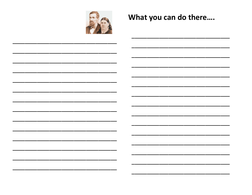

## What you can do there....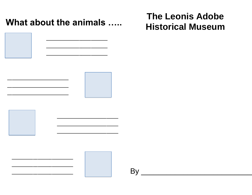What about the animals .....



## **The Leonis Adobe Historical Museum**





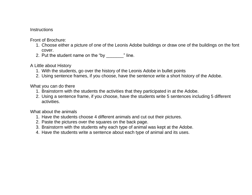## **Instructions**

Front of Brochure:

- 1. Choose either a picture of one of the Leonis Adobe buildings or draw one of the buildings on the font cover.
- 2. Put the student name on the "by The.

A Little about History

- 1. With the students, go over the history of the Leonis Adobe in bullet points
- 2. Using sentence frames, if you choose, have the sentence write a short history of the Adobe.

What you can do there

- 1. Brainstorm with the students the activities that they participated in at the Adobe.
- 2. Using a sentence frame, if you choose, have the students write 5 sentences including 5 different activities.

What about the animals

- 1. Have the students choose 4 different animals and cut out their pictures.
- 2. Paste the pictures over the squares on the back page.
- 3. Brainstorm with the students why each type of animal was kept at the Adobe.
- 4. Have the students write a sentence about each type of animal and its uses.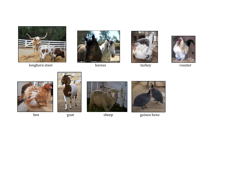

longhorn steer horses turkey turkey rooster















hen goat sheep guinea hens